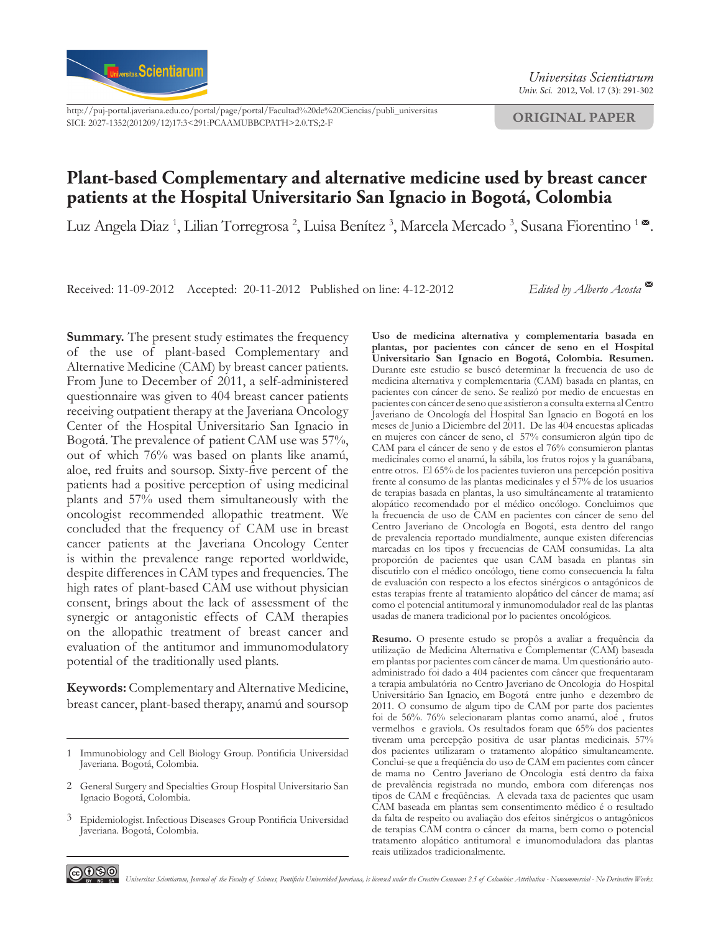

[http://puj-portal.javeriana.edu.co/portal/page/portal/Facultad%20de%20Ciencias/publi\\_universitas](http://puj-portal.javeriana.edu.co/portal/page/portal/Facultad%20de%20Ciencias/publi_universitas) SICI: 2027-1352(201209/12)17:3<291:PCAAMUBBCPATH>2.0.TS;2-F

*Univ. Sci.* 2012, Vol. 17 (3): 291-302

**ORIGINAL PAPER**

# **Plant-based Complementary and alternative medicine used by breast cancer patients at the Hospital Universitario San Ignacio in Bogotá, Colombia**

Luz Angela Diaz <sup>1</sup>, Lilian Torregrosa <sup>2</sup>, Luisa Benítez <sup>3</sup>, Marcela Mercado <sup>3</sup>, Susana Fiorentino <sup>1</sup> ×.

Received: 11-09-2012 Accepted: 20-11-2012 Published on line: 4-12-2012 *Edited by Alberto Acosta* 

**Summary.** The present study estimates the frequency of the use of plant-based Complementary and Alternative Medicine (CAM) by breast cancer patients. From June to December of 2011, a self-administered questionnaire was given to 404 breast cancer patients receiving outpatient therapy at the Javeriana Oncology Center of the Hospital Universitario San Ignacio in Bogotá. The prevalence of patient CAM use was 57%, out of which 76% was based on plants like anamú, aloe, red fruits and soursop. Sixty-five percent of the patients had a positive perception of using medicinal plants and 57% used them simultaneously with the oncologist recommended allopathic treatment. We concluded that the frequency of CAM use in breast cancer patients at the Javeriana Oncology Center is within the prevalence range reported worldwide, despite differences in CAM types and frequencies. The high rates of plant-based CAM use without physician consent, brings about the lack of assessment of the synergic or antagonistic effects of CAM therapies on the allopathic treatment of breast cancer and evaluation of the antitumor and immunomodulatory potential of the traditionally used plants.

**Keywords:** Complementary and Alternative Medicine, breast cancer, plant-based therapy, anamú and soursop

**Uso de medicina alternativa y complementaria basada en plantas, por pacientes con cáncer de seno en el Hospital Universitario San Ignacio en Bogotá, Colombia. Resumen.**  Durante este estudio se buscó determinar la frecuencia de uso de medicina alternativa y complementaria (CAM) basada en plantas, en pacientes con cáncer de seno. Se realizó por medio de encuestas en pacientes con cáncer de seno que asistieron a consulta externa al Centro Javeriano de Oncología del Hospital San Ignacio en Bogotá en los meses de Junio a Diciembre del 2011. De las 404 encuestas aplicadas en mujeres con cáncer de seno, el 57% consumieron algún tipo de CAM para el cáncer de seno y de estos el 76% consumieron plantas medicinales como el anamú, la sábila, los frutos rojos y la guanábana, entre otros. El 65% de los pacientes tuvieron una percepción positiva frente al consumo de las plantas medicinales y el 57% de los usuarios de terapias basada en plantas, la uso simultáneamente al tratamiento alopático recomendado por el médico oncólogo. Concluimos que la frecuencia de uso de CAM en pacientes con cáncer de seno del Centro Javeriano de Oncología en Bogotá, esta dentro del rango de prevalencia reportado mundialmente, aunque existen diferencias marcadas en los tipos y frecuencias de CAM consumidas. La alta proporción de pacientes que usan CAM basada en plantas sin discutirlo con el médico oncólogo, tiene como consecuencia la falta de evaluación con respecto a los efectos sinérgicos o antagónicos de estas terapias frente al tratamiento alopático del cáncer de mama; así como el potencial antitumoral y inmunomodulador real de las plantas usadas de manera tradicional por lo pacientes oncológicos.

**Resumo.** O presente estudo se propôs a avaliar a frequência da utilização de Medicina Alternativa e Complementar (CAM) baseada em plantas por pacientes com câncer de mama. Um questionário autoadministrado foi dado a 404 pacientes com câncer que frequentaram a terapia ambulatória no Centro Javeriano de Oncologia do Hospital Universitário San Ignacio, em Bogotá entre junho e dezembro de 2011. O consumo de algum tipo de CAM por parte dos pacientes foi de 56%. 76% selecionaram plantas como anamú, aloé , frutos vermelhos e graviola. Os resultados foram que 65% dos pacientes tiveram uma percepção positiva de usar plantas medicinais. 57% dos pacientes utilizaram o tratamento alopático simultaneamente. Conclui-se que a freqüência do uso de CAM em pacientes com câncer de mama no Centro Javeriano de Oncologia está dentro da faixa de prevalência registrada no mundo, embora com diferenças nos tipos de CAM e freqüências. A elevada taxa de pacientes que usam CAM baseada em plantas sem consentimento médico é o resultado da falta de respeito ou avaliação dos efeitos sinérgicos o antagônicos de terapias CAM contra o câncer da mama, bem como o potencial tratamento alopático antitumoral e imunomoduladora das plantas reais utilizados tradicionalmente.



<sup>1</sup> Immunobiology and Cell Biology Group. Pontificia Universidad Javeriana. Bogotá, Colombia.

General Surgery and Specialties Group Hospital Universitario San 2 Ignacio Bogotá, Colombia.

Epidemiologist.Infectious Diseases Group Pontificia Universidad 3 Javeriana. Bogotá, Colombia.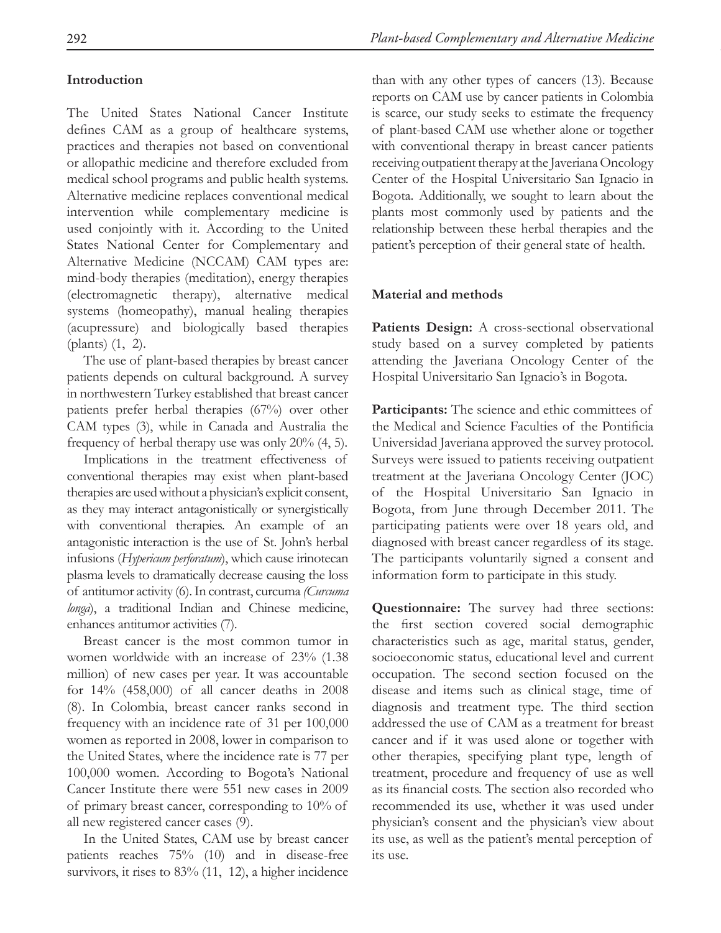## **Introduction**

The United States National Cancer Institute defines CAM as a group of healthcare systems, practices and therapies not based on conventional or allopathic medicine and therefore excluded from medical school programs and public health systems. Alternative medicine replaces conventional medical intervention while complementary medicine is used conjointly with it. According to the United States National Center for Complementary and Alternative Medicine (NCCAM) CAM types are: mind-body therapies (meditation), energy therapies (electromagnetic therapy), alternative medical systems (homeopathy), manual healing therapies (acupressure) and biologically based therapies (plants) (1, 2).

The use of plant-based therapies by breast cancer patients depends on cultural background. A survey in northwestern Turkey established that breast cancer patients prefer herbal therapies (67%) over other CAM types (3), while in Canada and Australia the frequency of herbal therapy use was only 20% (4, 5).

Implications in the treatment effectiveness of conventional therapies may exist when plant-based therapies are used without a physician's explicit consent, as they may interact antagonistically or synergistically with conventional therapies. An example of an antagonistic interaction is the use of St. John's herbal infusions (*Hypericum perforatum*), which cause irinotecan plasma levels to dramatically decrease causing the loss of antitumor activity (6). In contrast, curcuma *(Curcuma longa*), a traditional Indian and Chinese medicine, enhances antitumor activities (7).

Breast cancer is the most common tumor in women worldwide with an increase of 23% (1.38 million) of new cases per year. It was accountable for 14% (458,000) of all cancer deaths in 2008 (8). In Colombia, breast cancer ranks second in frequency with an incidence rate of 31 per 100,000 women as reported in 2008, lower in comparison to the United States, where the incidence rate is 77 per 100,000 women. According to Bogota's National Cancer Institute there were 551 new cases in 2009 of primary breast cancer, corresponding to 10% of all new registered cancer cases (9).

In the United States, CAM use by breast cancer patients reaches 75% (10) and in disease-free survivors, it rises to 83% (11, 12), a higher incidence

than with any other types of cancers (13). Because reports on CAM use by cancer patients in Colombia is scarce, our study seeks to estimate the frequency of plant-based CAM use whether alone or together with conventional therapy in breast cancer patients receiving outpatient therapy at the Javeriana Oncology Center of the Hospital Universitario San Ignacio in Bogota. Additionally, we sought to learn about the plants most commonly used by patients and the relationship between these herbal therapies and the patient's perception of their general state of health.

### **Material and methods**

Patients Design: A cross-sectional observational study based on a survey completed by patients attending the Javeriana Oncology Center of the Hospital Universitario San Ignacio's in Bogota.

**Participants:** The science and ethic committees of the Medical and Science Faculties of the Pontificia Universidad Javeriana approved the survey protocol. Surveys were issued to patients receiving outpatient treatment at the Javeriana Oncology Center (JOC) of the Hospital Universitario San Ignacio in Bogota, from June through December 2011. The participating patients were over 18 years old, and diagnosed with breast cancer regardless of its stage. The participants voluntarily signed a consent and information form to participate in this study.

**Questionnaire:** The survey had three sections: the first section covered social demographic characteristics such as age, marital status, gender, socioeconomic status, educational level and current occupation. The second section focused on the disease and items such as clinical stage, time of diagnosis and treatment type. The third section addressed the use of CAM as a treatment for breast cancer and if it was used alone or together with other therapies, specifying plant type, length of treatment, procedure and frequency of use as well as its financial costs. The section also recorded who recommended its use, whether it was used under physician's consent and the physician's view about its use, as well as the patient's mental perception of its use.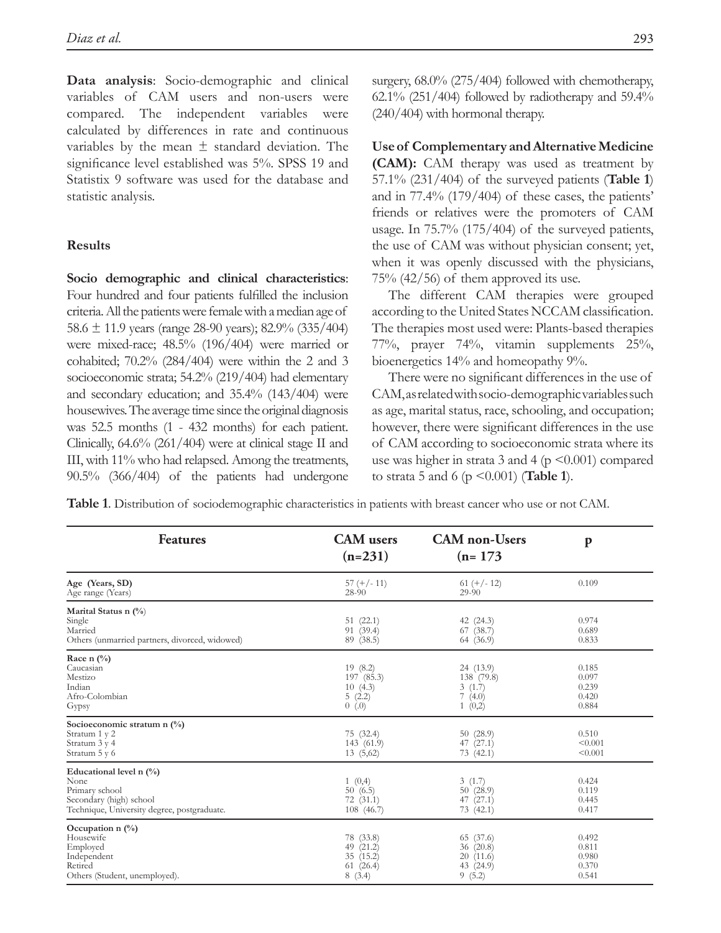**Data analysis**: Socio-demographic and clinical variables of CAM users and non-users were compared. The independent variables were calculated by differences in rate and continuous variables by the mean  $\pm$  standard deviation. The significance level established was 5%. SPSS 19 and Statistix 9 software was used for the database and statistic analysis.

### **Results**

**Socio demographic and clinical characteristics**: Four hundred and four patients fulfilled the inclusion criteria. All the patients were female with a median age of 58.6  $\pm$  11.9 years (range 28-90 years); 82.9% (335/404) were mixed-race; 48.5% (196/404) were married or cohabited; 70.2% (284/404) were within the 2 and 3 socioeconomic strata; 54.2% (219/404) had elementary and secondary education; and 35.4% (143/404) were housewives. The average time since the original diagnosis was 52.5 months (1 - 432 months) for each patient. Clinically, 64.6% (261/404) were at clinical stage II and III, with 11% who had relapsed. Among the treatments, 90.5% (366/404) of the patients had undergone surgery, 68.0% (275/404) followed with chemotherapy, 62.1% (251/404) followed by radiotherapy and  $59.4\%$ (240/404) with hormonal therapy.

**Use of Complementary and Alternative Medicine (CAM):** CAM therapy was used as treatment by 57.1% (231/404) of the surveyed patients (**Table 1**) and in 77.4% (179/404) of these cases, the patients' friends or relatives were the promoters of CAM usage. In 75.7% (175/404) of the surveyed patients, the use of CAM was without physician consent; yet, when it was openly discussed with the physicians,  $75% (42/56)$  of them approved its use.

The different CAM therapies were grouped according to the United States NCCAM classification. The therapies most used were: Plants-based therapies 77%, prayer 74%, vitamin supplements 25%, bioenergetics 14% and homeopathy 9%.

There were no significant differences in the use of CAM, as related with socio-demographic variables such as age, marital status, race, schooling, and occupation; however, there were significant differences in the use of CAM according to socioeconomic strata where its use was higher in strata 3 and 4 ( $p \le 0.001$ ) compared to strata 5 and 6 (p <0.001) (**Table 1**).

**Table 1**. Distribution of sociodemographic characteristics in patients with breast cancer who use or not CAM.

| <b>Features</b>                                                                                                                | <b>CAM</b> users<br>$(n=231)$                               | <b>CAM</b> non-Users<br>$(n=173)$                        | $\mathbf{p}$                              |
|--------------------------------------------------------------------------------------------------------------------------------|-------------------------------------------------------------|----------------------------------------------------------|-------------------------------------------|
| Age (Years, SD)<br>Age range (Years)                                                                                           | $57 (+/- 11)$<br>28-90                                      | $61 (+/- 12)$<br>29-90                                   | 0.109                                     |
| Marital Status n $(\% )$<br>Single<br>Married<br>Others (unmarried partners, divorced, widowed)                                | 51(22.1)<br>91 (39.4)<br>89 (38.5)                          | 42 (24.3)<br>67(38.7)<br>64 (36.9)                       | 0.974<br>0.689<br>0.833                   |
| Race n $(\%$<br>Caucasian<br>Mestizo<br>Indian<br>Afro-Colombian<br>Gypsy                                                      | 19(8.2)<br>197 (85.3)<br>10(4.3)<br>5(2.2)<br>0(0.0)        | 24 (13.9)<br>138 (79.8)<br>3(1.7)<br>7(4.0)<br>1(0,2)    | 0.185<br>0.097<br>0.239<br>0.420<br>0.884 |
| Socioeconomic stratum n (%)<br>Stratum 1 y 2<br>Stratum 3 y 4<br>Stratum 5 y 6                                                 | 75 (32.4)<br>143 (61.9)<br>13(5,62)                         | 50(28.9)<br>47 (27.1)<br>73 (42.1)                       | 0.510<br>< 0.001<br>< 0.001               |
| Educational level n $(\%)$<br>None<br>Primary school<br>Secondary (high) school<br>Technique, University degree, postgraduate. | 1(0,4)<br>50(6.5)<br>72(31.1)<br>108(46.7)                  | 3(1.7)<br>50(28.9)<br>47 (27.1)<br>73(42.1)              | 0.424<br>0.119<br>0.445<br>0.417          |
| Occupation $n$ (%)<br>Housewife<br>Employed<br>Independent<br>Retired<br>Others (Student, unemployed).                         | 78 (33.8)<br>49 $(21.2)$<br>35 (15.2)<br>61(26.4)<br>8(3.4) | 65 (37.6)<br>36(20.8)<br>20(11.6)<br>43 (24.9)<br>9(5.2) | 0.492<br>0.811<br>0.980<br>0.370<br>0.541 |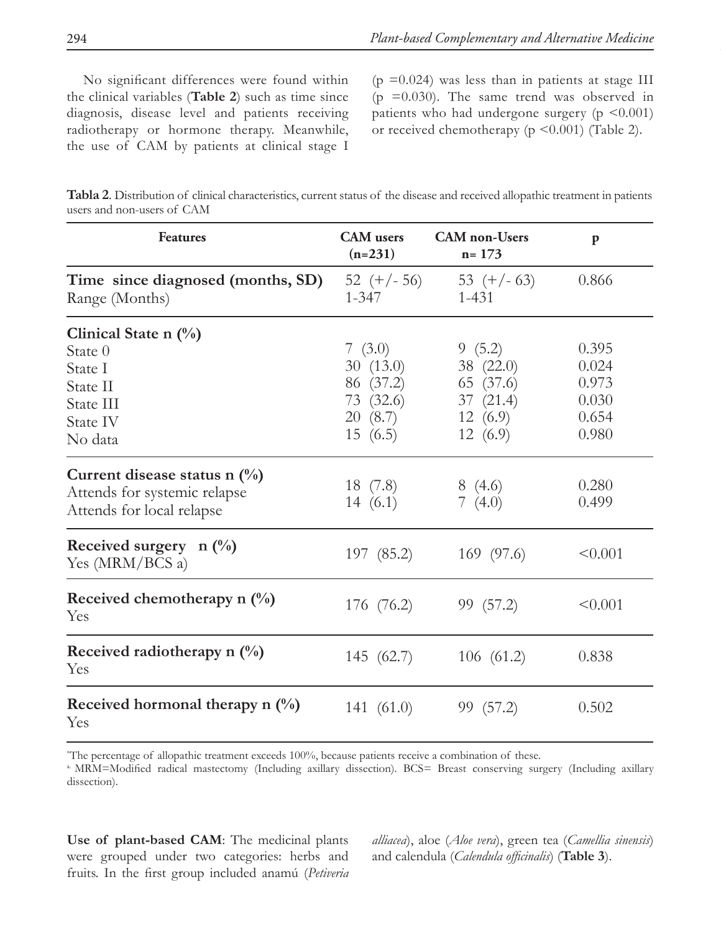No significant differences were found within the clinical variables (**Table 2**) such as time since diagnosis, disease level and patients receiving radiotherapy or hormone therapy. Meanwhile, the use of CAM by patients at clinical stage I

 $(p = 0.024)$  was less than in patients at stage III ( $p = 0.030$ ). The same trend was observed in patients who had undergone surgery (p <0.001) or received chemotherapy (p <0.001) (Table 2).

| Tabla 2. Distribution of clinical characteristics, current status of the disease and received allopathic treatment in patients |  |
|--------------------------------------------------------------------------------------------------------------------------------|--|
| users and non-users of CAM                                                                                                     |  |

| <b>Features</b>                                                                               | <b>CAM</b> users<br>$(n=231)$                                         | <b>CAM</b> non-Users<br>$n = 173$                                  | p                                                  |
|-----------------------------------------------------------------------------------------------|-----------------------------------------------------------------------|--------------------------------------------------------------------|----------------------------------------------------|
| Time since diagnosed (months, SD)<br>Range (Months)                                           | $52 (+/- 56)$<br>$1 - 347$                                            | 53 $(+/- 63)$<br>$1 - 431$                                         | 0.866                                              |
| Clinical State n $(\%)$<br>State 0<br>State I<br>State II<br>State III<br>State IV<br>No data | 7 $(3.0)$<br>30(13.0)<br>86 (37.2)<br>73 (32.6)<br>20(8.7)<br>15(6.5) | 9(5.2)<br>38 (22.0)<br>65 (37.6)<br>37(21.4)<br>12(6.9)<br>12(6.9) | 0.395<br>0.024<br>0.973<br>0.030<br>0.654<br>0.980 |
| Current disease status n $(\%)$<br>Attends for systemic relapse<br>Attends for local relapse  | 18 (7.8)<br>14 $(6.1)$                                                | 8(4.6)<br>7 $(4.0)$                                                | 0.280<br>0.499                                     |
| Received surgery $n \binom{0}{0}$<br>Yes (MRM/BCS a)                                          | 197 (85.2)                                                            | 169 (97.6)                                                         | < 0.001                                            |
| Received chemotherapy n $\left(\frac{0}{0}\right)$<br>Yes                                     | 176 (76.2)                                                            | 99 (57.2)                                                          | < 0.001                                            |
| Received radiotherapy n $\left(\frac{0}{0}\right)$<br>Yes                                     | 145 (62.7)                                                            | 106(61.2)                                                          | 0.838                                              |
| Received hormonal therapy $n \binom{0}{0}$<br>Yes                                             | 141 $(61.0)$                                                          | 99 (57.2)                                                          | 0.502                                              |

\* The percentage of allopathic treatment exceeds 100%, because patients receive a combination of these.

a. MRM=Modified radical mastectomy (Including axillary dissection). BCS= Breast conserving surgery (Including axillary dissection).

**Use of plant-based CAM**: The medicinal plants were grouped under two categories: herbs and fruits. In the first group included anamú (*Petiveria*  *alliacea*), aloe (*Aloe vera*), green tea (*Camellia sinensis*) and calendula (*Calendula officinalis*) (**Table 3**).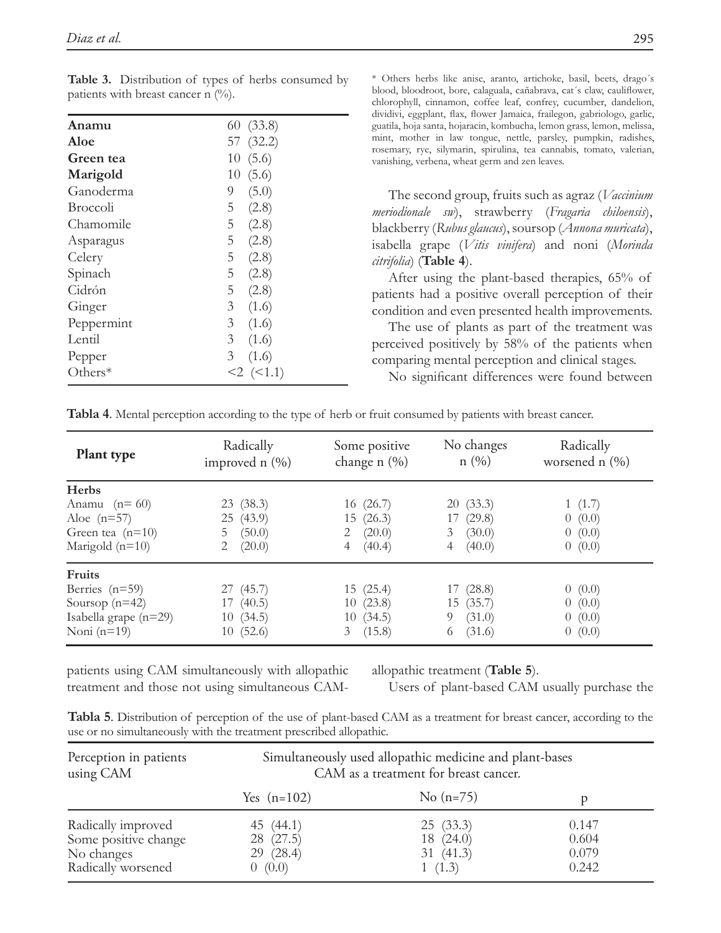| Anamu           | 60(33.8)                |
|-----------------|-------------------------|
| Aloe            | 57 (32.2)               |
| Green tea       | 10(5.6)                 |
| Marigold        | 10(5.6)                 |
| Ganoderma       | 9<br>(5.0)              |
| <b>Broccoli</b> | (2.8)<br>5              |
| Chamomile       | 5 <sup>5</sup><br>(2.8) |
| Asparagus       | 5 <sup>5</sup><br>(2.8) |
| Celery          | 5(2.8)                  |
| Spinach         | 5(2.8)                  |
| Cidrón          | 5(2.8)                  |
| Ginger          | 3 <sup>7</sup><br>(1.6) |
| Peppermint      | 3(1.6)                  |
| Lentil          | 3(1.6)                  |
| Pepper          | 3 <sup>7</sup><br>(1.6) |
| Others*         | $<2$ $(<1.1)$           |
|                 |                         |

**Table 3.** Distribution of types of herbs consumed by patients with breast cancer n  $(\%)$ .

\* Others herbs like anise, aranto, artichoke, basil, beets, drago´s blood, bloodroot, bore, calaguala, cañabrava, cat´s claw, cauliflower, chlorophyll, cinnamon, coffee leaf, confrey, cucumber, dandelion, dividivi, eggplant, flax, flower Jamaica, frailegon, gabriologo, garlic, guatila, hoja santa, hojaracin, kombucha, lemon grass, lemon, melissa, mint, mother in law tongue, nettle, parsley, pumpkin, radishes, rosemary, rye, silymarin, spirulina, tea cannabis, tomato, valerian, vanishing, verbena, wheat germ and zen leaves.

The second group, fruits such as agraz (*Vaccinium meriodionale sw*), strawberry (*Fragaria chiloensis*), blackberry (*Rubus glaucus*), soursop (*Annona muricata*), isabella grape (*Vitis vinifera*) and noni (*Morinda citrifolia*) (**Table 4**).

After using the plant-based therapies, 65% of patients had a positive overall perception of their condition and even presented health improvements.

The use of plants as part of the treatment was perceived positively by 58% of the patients when comparing mental perception and clinical stages.

No significant differences were found between

|  |  | Tabla 4. Mental perception according to the type of herb or fruit consumed by patients with breast cancer. |
|--|--|------------------------------------------------------------------------------------------------------------|
|  |  |                                                                                                            |

| <b>Plant type</b>       | Radically<br>improved $n$ $(\%)$ | Some positive<br>change $n$ $(\%)$ | No changes<br>n(%) | Radically<br>worsened n $(\% )$ |
|-------------------------|----------------------------------|------------------------------------|--------------------|---------------------------------|
| <b>Herbs</b>            |                                  |                                    |                    |                                 |
| Anamu $(n=60)$          | 23(38.3)                         | 16(26.7)                           | 20(33.3)           | 1(1.7)                          |
| Aloe $(n=57)$           | 25(43.9)                         | 15(26.3)                           | 17(29.8)           | 0(0.0)                          |
| Green tea $(n=10)$      | (50.0)<br>5                      | (20.0)<br>2                        | (30.0)<br>3        | 0(0.0)                          |
| Marigold $(n=10)$       | 2<br>(20.0)                      | (40.4)<br>4                        | (40.0)<br>4        | 0(0.0)                          |
| <b>Fruits</b>           |                                  |                                    |                    |                                 |
| Berries $(n=59)$        | 27(45.7)                         | 15(25.4)                           | 17 (28.8)          | 0(0.0)                          |
| Soursop $(n=42)$        | 17(40.5)                         | 10(23.8)                           | 15(35.7)           | 0(0.0)                          |
| Isabella grape $(n=29)$ | 10(34.5)                         | 10(34.5)                           | (31.0)<br>9        | 0(0.0)                          |
| Noni $(n=19)$           | 10(52.6)                         | 3(15.8)                            | (31.6)<br>6        | 0(0.0)                          |

patients using CAM simultaneously with allopathic treatment and those not using simultaneous CAM-

allopathic treatment (**Table 5**).

Users of plant-based CAM usually purchase the

| Tabla 5. Distribution of perception of the use of plant-based CAM as a treatment for breast cancer, according to the |  |  |  |  |
|----------------------------------------------------------------------------------------------------------------------|--|--|--|--|
| use or no simultaneously with the treatment prescribed allopathic.                                                   |  |  |  |  |

| Perception in patients | Simultaneously used allopathic medicine and plant-bases |             |       |  |
|------------------------|---------------------------------------------------------|-------------|-------|--|
| using CAM              | CAM as a treatment for breast cancer.                   |             |       |  |
|                        | Yes $(n=102)$                                           | No $(n=75)$ |       |  |
| Radically improved     | 45 $(44.1)$                                             | 25(33.3)    | 0.147 |  |
| Some positive change   | 28 (27.5)                                               | 18(24.0)    | 0.604 |  |
| No changes             | 29 (28.4)                                               | 31(41.3)    | 0.079 |  |
| Radically worsened     | 0(0.0)                                                  | 1(1.3)      | 0.242 |  |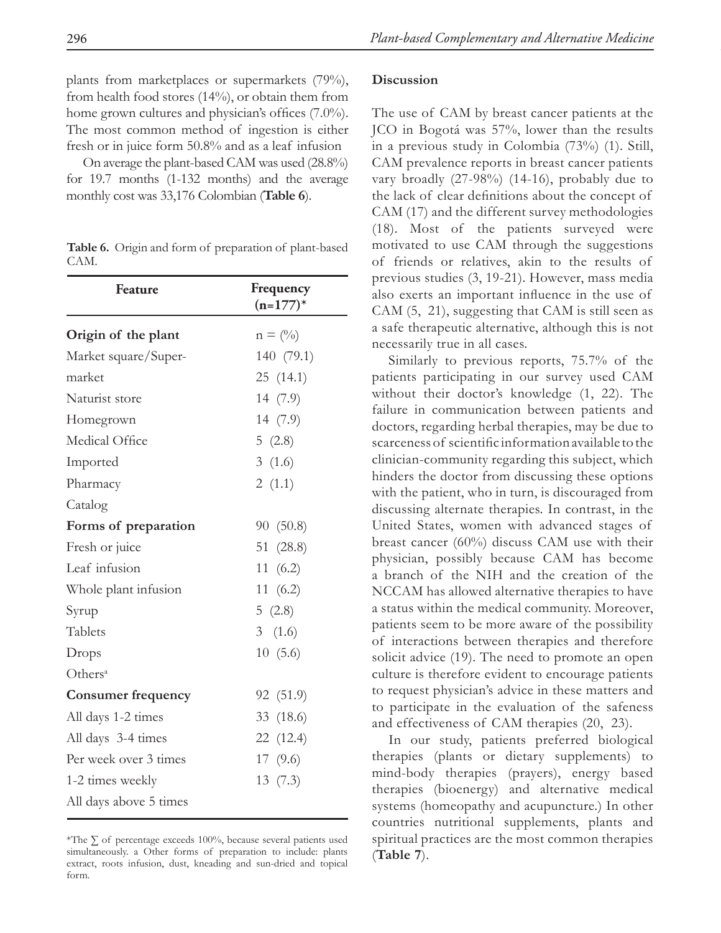plants from marketplaces or supermarkets (79%), from health food stores (14%), or obtain them from home grown cultures and physician's offices (7.0%). The most common method of ingestion is either fresh or in juice form 50.8% and as a leaf infusion

On average the plant-based CAM was used (28.8%) for 19.7 months (1-132 months) and the average monthly cost was 33,176 Colombian (**Table 6**).

**Table 6.** Origin and form of preparation of plant-based CAM.

| Feature                   | Frequency<br>$(n=177)*$ |
|---------------------------|-------------------------|
| Origin of the plant       | $n = (0/6)$             |
| Market square/Super-      | 140 (79.1)              |
| market                    | 25 (14.1)               |
| Naturist store            | 14 (7.9)                |
| Homegrown                 | 14 (7.9)                |
| Medical Office            | 5(2.8)                  |
| Imported                  | 3(1.6)                  |
| Pharmacy                  | 2(1.1)                  |
| Catalog                   |                         |
| Forms of preparation      | 90 (50.8)               |
| Fresh or juice            | 51 (28.8)               |
| Leaf infusion             | 11 $(6.2)$              |
| Whole plant infusion      | 11 $(6.2)$              |
| Syrup                     | 5(2.8)                  |
| Tablets                   | 3 $(1.6)$               |
| Drops                     | 10(5.6)                 |
| Others <sup>a</sup>       |                         |
| <b>Consumer frequency</b> | 92 (51.9)               |
| All days 1-2 times        | 33 (18.6)               |
| All days 3-4 times        | 22 (12.4)               |
| Per week over 3 times     | 17 (9.6)                |
| 1-2 times weekly          | 13(7.3)                 |
| All days above 5 times    |                         |

\*The ∑ of percentage exceeds 100%, because several patients used simultaneously. a Other forms of preparation to include: plants extract, roots infusion, dust, kneading and sun-dried and topical form.

### **Discussion**

The use of CAM by breast cancer patients at the JCO in Bogotá was 57%, lower than the results in a previous study in Colombia (73%) (1). Still, CAM prevalence reports in breast cancer patients vary broadly (27-98%) (14-16), probably due to the lack of clear definitions about the concept of CAM (17) and the different survey methodologies (18). Most of the patients surveyed were motivated to use CAM through the suggestions of friends or relatives, akin to the results of previous studies (3, 19-21). However, mass media also exerts an important influence in the use of CAM (5, 21), suggesting that CAM is still seen as a safe therapeutic alternative, although this is not necessarily true in all cases.

Similarly to previous reports, 75.7% of the patients participating in our survey used CAM without their doctor's knowledge (1, 22). The failure in communication between patients and doctors, regarding herbal therapies, may be due to scarceness of scientific information available to the clinician-community regarding this subject, which hinders the doctor from discussing these options with the patient, who in turn, is discouraged from discussing alternate therapies. In contrast, in the United States, women with advanced stages of breast cancer (60%) discuss CAM use with their physician, possibly because CAM has become a branch of the NIH and the creation of the NCCAM has allowed alternative therapies to have a status within the medical community. Moreover, patients seem to be more aware of the possibility of interactions between therapies and therefore solicit advice (19). The need to promote an open culture is therefore evident to encourage patients to request physician's advice in these matters and to participate in the evaluation of the safeness and effectiveness of CAM therapies (20, 23).

In our study, patients preferred biological therapies (plants or dietary supplements) to mind-body therapies (prayers), energy based therapies (bioenergy) and alternative medical systems (homeopathy and acupuncture.) In other countries nutritional supplements, plants and spiritual practices are the most common therapies (**Table 7**).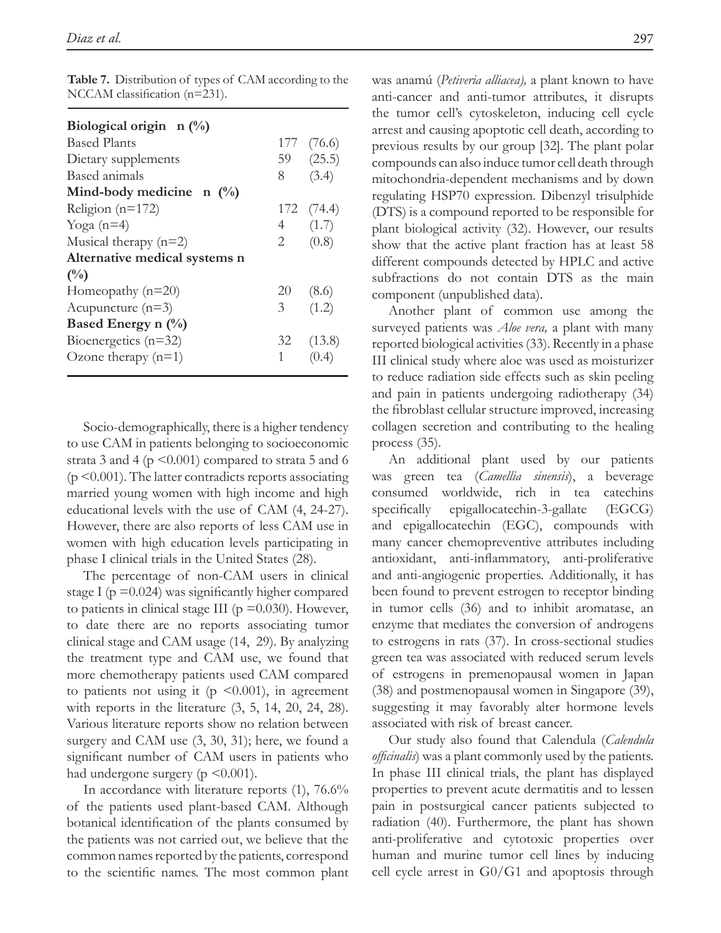| Biological origin $\pi$ (%)   |                |            |
|-------------------------------|----------------|------------|
| <b>Based Plants</b>           |                | 177 (76.6) |
| Dietary supplements           |                | 59(25.5)   |
| Based animals                 | 8              | (3.4)      |
| Mind-body medicine $n \ (\%)$ |                |            |
| Religion ( $n=172$ )          |                | 172 (74.4) |
| Yoga $(n=4)$                  | 4 $(1.7)$      |            |
| Musical therapy $(n=2)$       | 2              | (0.8)      |
| Alternative medical systems n |                |            |
| $\binom{0}{0}$                |                |            |
| Homeopathy $(n=20)$           | 20 (8.6)       |            |
| Acupuncture $(n=3)$           | 3 <sup>7</sup> | (1.2)      |
| Based Energy n $(\%)$         |                |            |
| Bioenergetics $(n=32)$        |                | 32 (13.8)  |
| Ozone therapy $(n=1)$         | $1 \quad$      |            |

**Table 7.** Distribution of types of CAM according to the NCCAM classification (n=231).

Socio-demographically, there is a higher tendency to use CAM in patients belonging to socioeconomic strata 3 and 4 ( $p \le 0.001$ ) compared to strata 5 and 6  $(p \leq 0.001)$ . The latter contradicts reports associating married young women with high income and high educational levels with the use of CAM (4, 24-27). However, there are also reports of less CAM use in women with high education levels participating in phase I clinical trials in the United States (28).

The percentage of non-CAM users in clinical stage I ( $p = 0.024$ ) was significantly higher compared to patients in clinical stage III ( $p = 0.030$ ). However, to date there are no reports associating tumor clinical stage and CAM usage (14, 29). By analyzing the treatment type and CAM use, we found that more chemotherapy patients used CAM compared to patients not using it ( $p \leq 0.001$ ), in agreement with reports in the literature (3, 5, 14, 20, 24, 28). Various literature reports show no relation between surgery and CAM use (3, 30, 31); here, we found a significant number of CAM users in patients who had undergone surgery ( $p \leq 0.001$ ).

In accordance with literature reports (1), 76.6% of the patients used plant-based CAM. Although botanical identification of the plants consumed by the patients was not carried out, we believe that the common names reported by the patients, correspond to the scientific names. The most common plant

was anamú (*Petiveria alliacea),* a plant known to have anti-cancer and anti-tumor attributes, it disrupts the tumor cell's cytoskeleton, inducing cell cycle arrest and causing apoptotic cell death, according to previous results by our group [32]. The plant polar compounds can also induce tumor cell death through mitochondria-dependent mechanisms and by down regulating HSP70 expression. Dibenzyl trisulphide (DTS) is a compound reported to be responsible for plant biological activity (32). However, our results show that the active plant fraction has at least 58 different compounds detected by HPLC and active subfractions do not contain DTS as the main component (unpublished data).

Another plant of common use among the surveyed patients was *Aloe vera,* a plant with many reported biological activities (33). Recently in a phase III clinical study where aloe was used as moisturizer to reduce radiation side effects such as skin peeling and pain in patients undergoing radiotherapy (34) the fibroblast cellular structure improved, increasing collagen secretion and contributing to the healing process (35).

An additional plant used by our patients was green tea (*Camellia sinensis*), a beverage consumed worldwide, rich in tea catechins specifically epigallocatechin-3-gallate (EGCG) and epigallocatechin (EGC), compounds with many cancer chemopreventive attributes including antioxidant, anti-inflammatory, anti-proliferative and anti-angiogenic properties. Additionally, it has been found to prevent estrogen to receptor binding in tumor cells (36) and to inhibit aromatase, an enzyme that mediates the conversion of androgens to estrogens in rats (37). In cross-sectional studies green tea was associated with reduced serum levels of estrogens in premenopausal women in Japan (38) and postmenopausal women in Singapore (39), suggesting it may favorably alter hormone levels associated with risk of breast cancer.

Our study also found that Calendula (*Calendula officinalis*) was a plant commonly used by the patients. In phase III clinical trials, the plant has displayed properties to prevent acute dermatitis and to lessen pain in postsurgical cancer patients subjected to radiation (40). Furthermore, the plant has shown anti-proliferative and cytotoxic properties over human and murine tumor cell lines by inducing cell cycle arrest in G0/G1 and apoptosis through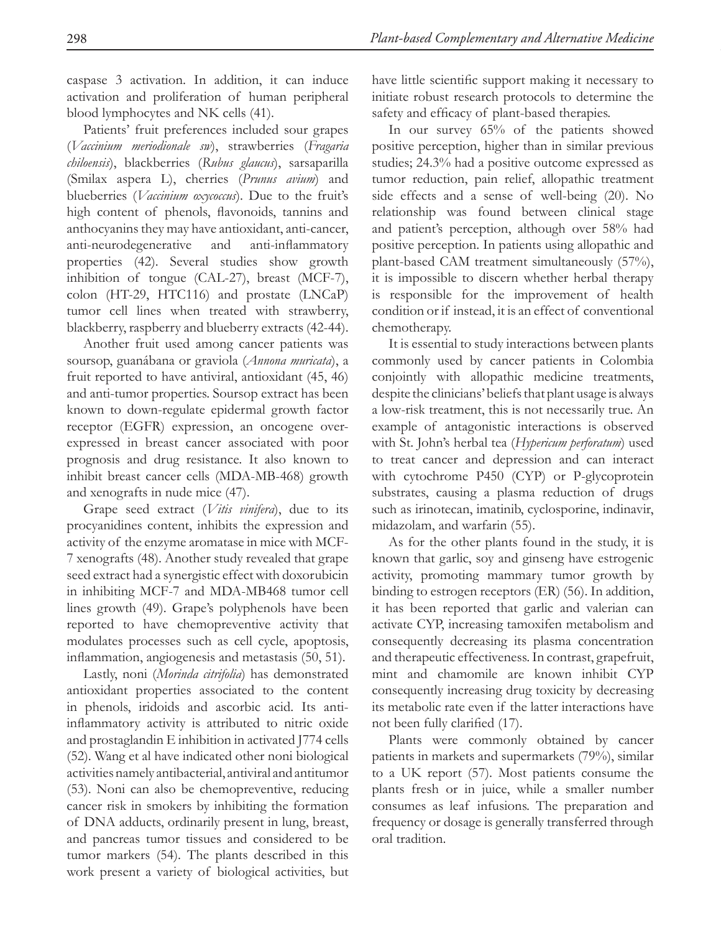caspase 3 activation. In addition, it can induce activation and proliferation of human peripheral blood lymphocytes and NK cells (41).

Patients' fruit preferences included sour grapes (*Vaccinium meriodionale sw*), strawberries (*Fragaria chiloensis*), blackberries (*Rubus glaucus*), sarsaparilla (Smilax aspera L), cherries (*Prunus avium*) and blueberries (*Vaccinium oxycoccus*). Due to the fruit's high content of phenols, flavonoids, tannins and anthocyanins they may have antioxidant, anti-cancer, anti-neurodegenerative and anti-inflammatory properties (42). Several studies show growth inhibition of tongue (CAL-27), breast (MCF-7), colon (HT-29, HTC116) and prostate (LNCaP) tumor cell lines when treated with strawberry, blackberry, raspberry and blueberry extracts (42-44).

Another fruit used among cancer patients was soursop, guanábana or graviola (*Annona muricata*), a fruit reported to have antiviral, antioxidant (45, 46) and anti-tumor properties. Soursop extract has been known to down-regulate epidermal growth factor receptor (EGFR) expression, an oncogene overexpressed in breast cancer associated with poor prognosis and drug resistance. It also known to inhibit breast cancer cells (MDA-MB-468) growth and xenografts in nude mice (47).

Grape seed extract (*Vitis vinifera*), due to its procyanidines content, inhibits the expression and activity of the enzyme aromatase in mice with MCF-7 xenografts (48). Another study revealed that grape seed extract had a synergistic effect with doxorubicin in inhibiting MCF-7 and MDA-MB468 tumor cell lines growth (49). Grape's polyphenols have been reported to have chemopreventive activity that modulates processes such as cell cycle, apoptosis, inflammation, angiogenesis and metastasis (50, 51).

Lastly, noni (*Morinda citrifolia*) has demonstrated antioxidant properties associated to the content in phenols, iridoids and ascorbic acid. Its antiinflammatory activity is attributed to nitric oxide and prostaglandin E inhibition in activated J774 cells (52). Wang et al have indicated other noni biological activities namely antibacterial, antiviral and antitumor (53). Noni can also be chemopreventive, reducing cancer risk in smokers by inhibiting the formation of DNA adducts, ordinarily present in lung, breast, and pancreas tumor tissues and considered to be tumor markers (54). The plants described in this work present a variety of biological activities, but have little scientific support making it necessary to initiate robust research protocols to determine the safety and efficacy of plant-based therapies.

In our survey 65% of the patients showed positive perception, higher than in similar previous studies; 24.3% had a positive outcome expressed as tumor reduction, pain relief, allopathic treatment side effects and a sense of well-being (20). No relationship was found between clinical stage and patient's perception, although over 58% had positive perception. In patients using allopathic and plant-based CAM treatment simultaneously (57%), it is impossible to discern whether herbal therapy is responsible for the improvement of health condition or if instead, it is an effect of conventional chemotherapy.

It is essential to study interactions between plants commonly used by cancer patients in Colombia conjointly with allopathic medicine treatments, despite the clinicians' beliefs that plant usage is always a low-risk treatment, this is not necessarily true. An example of antagonistic interactions is observed with St. John's herbal tea (*Hypericum perforatum*) used to treat cancer and depression and can interact with cytochrome P450 (CYP) or P-glycoprotein substrates, causing a plasma reduction of drugs such as irinotecan, imatinib, cyclosporine, indinavir, midazolam, and warfarin (55).

As for the other plants found in the study, it is known that garlic, soy and ginseng have estrogenic activity, promoting mammary tumor growth by binding to estrogen receptors (ER) (56). In addition, it has been reported that garlic and valerian can activate CYP, increasing tamoxifen metabolism and consequently decreasing its plasma concentration and therapeutic effectiveness. In contrast, grapefruit, mint and chamomile are known inhibit CYP consequently increasing drug toxicity by decreasing its metabolic rate even if the latter interactions have not been fully clarified (17).

Plants were commonly obtained by cancer patients in markets and supermarkets (79%), similar to a UK report (57). Most patients consume the plants fresh or in juice, while a smaller number consumes as leaf infusions. The preparation and frequency or dosage is generally transferred through oral tradition.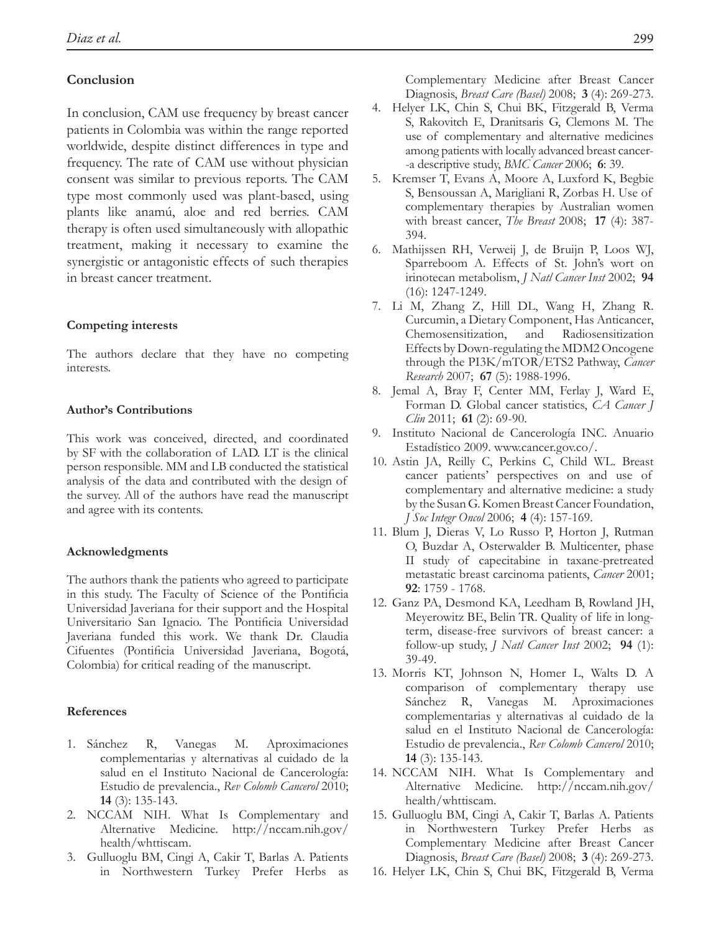# **Conclusion**

In conclusion, CAM use frequency by breast cancer patients in Colombia was within the range reported worldwide, despite distinct differences in type and frequency. The rate of CAM use without physician consent was similar to previous reports. The CAM type most commonly used was plant-based, using plants like anamú, aloe and red berries. CAM therapy is often used simultaneously with allopathic treatment, making it necessary to examine the synergistic or antagonistic effects of such therapies in breast cancer treatment.

### **Competing interests**

The authors declare that they have no competing interests.

### **Author's Contributions**

This work was conceived, directed, and coordinated by SF with the collaboration of LAD. LT is the clinical person responsible. MM and LB conducted the statistical analysis of the data and contributed with the design of the survey. All of the authors have read the manuscript and agree with its contents.

### **Acknowledgments**

The authors thank the patients who agreed to participate in this study. The Faculty of Science of the Pontificia Universidad Javeriana for their support and the Hospital Universitario San Ignacio. The Pontificia Universidad Javeriana funded this work. We thank Dr. Claudia Cifuentes (Pontificia Universidad Javeriana, Bogotá, Colombia) for critical reading of the manuscript.

#### **References**

- R, Vanegas M. Aproximaciones complementarias y alternativas al cuidado de la salud en el Instituto Nacional de Cancerología: Estudio de prevalencia., *Rev Colomb Cancerol* 2010; **14** (3): 135-143. 1.
- 2. NCCAM NIH. What Is Complementary and Alternative Medicine. http://nccam.nih.gov/ health/whttiscam.
- 3. Gulluoglu BM, Cingi A, Cakir T, Barlas A. Patients in Northwestern Turkey Prefer Herbs as

Complementary Medicine after Breast Cancer Diagnosis, *Breast Care (Basel)* 2008; **3** (4): 269-273.

- 4. Helyer LK, Chin S, Chui BK, Fitzgerald B, Verma S, Rakovitch E, Dranitsaris G, Clemons M. The use of complementary and alternative medicines among patients with locally advanced breast cancer- -a descriptive study, *BMC Cancer* 2006; **6**: 39.
- 5. Kremser T, Evans A, Moore A, Luxford K, Begbie S, Bensoussan A, Marigliani R, Zorbas H. Use of complementary therapies by Australian women with breast cancer, *The Breast* 2008; **17** (4): 387- 394.
- Mathijssen RH, Verweij J, de Bruijn P, Loos WJ, 6. Sparreboom A. Effects of St. John's wort on irinotecan metabolism, *J Natl Cancer Inst* 2002; **94**  (16): 1247-1249.
- 7. Li M, Zhang Z, Hill DL, Wang H, Zhang R. Curcumin, a Dietary Component, Has Anticancer, Chemosensitization, and Radiosensitization Effects by Down-regulating the MDM2 Oncogene through the PI3K/mTOR/ETS2 Pathway, *Cancer Research* 2007; **67** (5): 1988-1996.
- 8. Jemal A, Bray F, Center MM, Ferlay J, Ward E, Forman D. Global cancer statistics, *CA Cancer J Clin* 2011; **61** (2): 69-90.
- 9. Instituto Nacional de Cancerología INC. Anuario Estadístico 2009. www.cancer.gov.co/.
- 10. Astin JA, Reilly C, Perkins C, Child WL. Breast cancer patients' perspectives on and use of complementary and alternative medicine: a study by the Susan G. Komen Breast Cancer Foundation, *J Soc Integr Oncol* 2006; **4** (4): 157-169.
- 11. Blum J, Dieras V, Lo Russo P, Horton J, Rutman O, Buzdar A, Osterwalder B. Multicenter, phase II study of capecitabine in taxane-pretreated metastatic breast carcinoma patients, *Cancer* 2001; **92**: 1759 - 1768.
- 12. Ganz PA, Desmond KA, Leedham B, Rowland JH, Meyerowitz BE, Belin TR. Quality of life in longterm, disease-free survivors of breast cancer: a follow-up study, *J Natl Cancer Inst* 2002; **94** (1): 39-49.
- 13. Morris KT, Johnson N, Homer L, Walts D. A comparison of complementary therapy use Sánchez R, Vanegas M. Aproximaciones complementarias y alternativas al cuidado de la salud en el Instituto Nacional de Cancerología: Estudio de prevalencia., *Rev Colomb Cancerol* 2010; **14** (3): 135-143.
- 14. NCCAM NIH. What Is Complementary and Alternative Medicine. http://nccam.nih.gov/ health/whttiscam.
- 15. Gulluoglu BM, Cingi A, Cakir T, Barlas A. Patients in Northwestern Turkey Prefer Herbs as Complementary Medicine after Breast Cancer Diagnosis, *Breast Care (Basel)* 2008; **3** (4): 269-273.
- 16. Helyer LK, Chin S, Chui BK, Fitzgerald B, Verma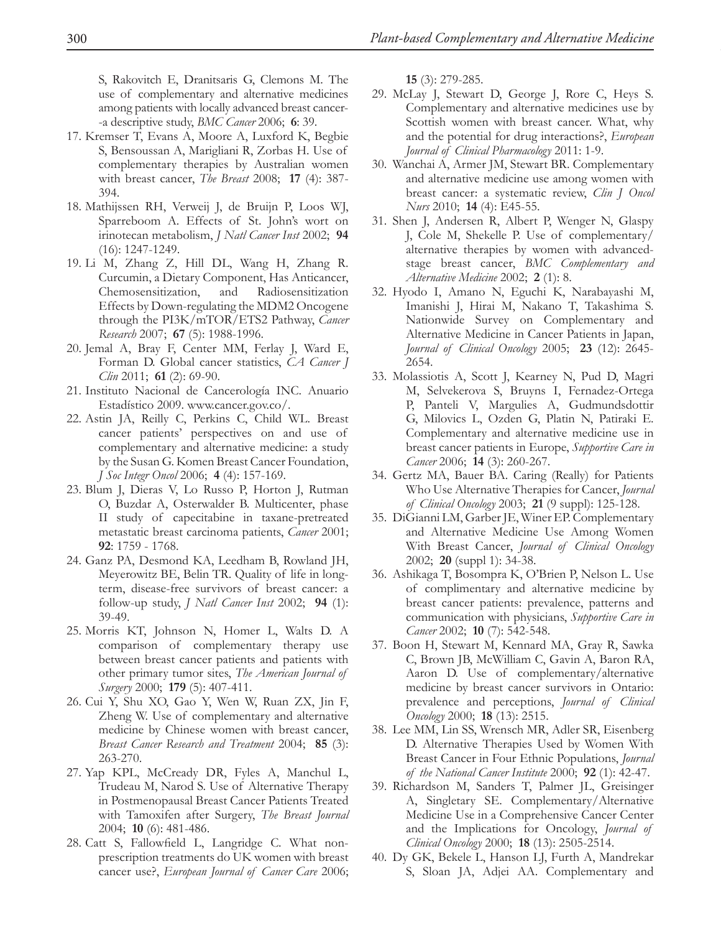S, Rakovitch E, Dranitsaris G, Clemons M. The use of complementary and alternative medicines among patients with locally advanced breast cancer- -a descriptive study, *BMC Cancer* 2006; **6**: 39.

- 17. Kremser T, Evans A, Moore A, Luxford K, Begbie S, Bensoussan A, Marigliani R, Zorbas H. Use of complementary therapies by Australian women with breast cancer, *The Breast* 2008; **17** (4): 387- 394.
- 18. Mathijssen RH, Verweij J, de Bruijn P, Loos WJ, Sparreboom A. Effects of St. John's wort on irinotecan metabolism, *J Natl Cancer Inst* 2002; **94**  (16): 1247-1249.
- Li M, Zhang Z, Hill DL, Wang H, Zhang R. 19. Curcumin, a Dietary Component, Has Anticancer, Chemosensitization, and Radiosensitization Effects by Down-regulating the MDM2 Oncogene through the PI3K/mTOR/ETS2 Pathway, *Cancer Research* 2007; **67** (5): 1988-1996.
- 20. Jemal A, Bray F, Center MM, Ferlay J, Ward E, Forman D. Global cancer statistics, *CA Cancer J Clin* 2011; **61** (2): 69-90.
- 21. Instituto Nacional de Cancerología INC. Anuario Estadístico 2009. www.cancer.gov.co/.
- 22. Astin JA, Reilly C, Perkins C, Child WL. Breast cancer patients' perspectives on and use of complementary and alternative medicine: a study by the Susan G. Komen Breast Cancer Foundation, *J Soc Integr Oncol* 2006; **4** (4): 157-169.
- 23. Blum J, Dieras V, Lo Russo P, Horton J, Rutman O, Buzdar A, Osterwalder B. Multicenter, phase II study of capecitabine in taxane-pretreated metastatic breast carcinoma patients, *Cancer* 2001; **92**: 1759 - 1768.
- 24. Ganz PA, Desmond KA, Leedham B, Rowland JH, Meyerowitz BE, Belin TR. Quality of life in longterm, disease-free survivors of breast cancer: a follow-up study, *J Natl Cancer Inst* 2002; **94** (1): 39-49.
- 25. Morris KT, Johnson N, Homer L, Walts D. A comparison of complementary therapy use between breast cancer patients and patients with other primary tumor sites, *The American Journal of Surgery* 2000; **179** (5): 407-411.
- 26. Cui Y, Shu XO, Gao Y, Wen W, Ruan ZX, Jin F, Zheng W. Use of complementary and alternative medicine by Chinese women with breast cancer, *Breast Cancer Research and Treatment* 2004; **85** (3): 263-270.
- 27. Yap KPL, McCready DR, Fyles A, Manchul L, Trudeau M, Narod S. Use of Alternative Therapy in Postmenopausal Breast Cancer Patients Treated with Tamoxifen after Surgery, *The Breast Journal*  2004; **10** (6): 481-486.
- 28. Catt S, Fallowfield L, Langridge C. What nonprescription treatments do UK women with breast cancer use?, *European Journal of Cancer Care* 2006;

**15** (3): 279-285.

- 29. McLay J, Stewart D, George J, Rore C, Heys S. Complementary and alternative medicines use by Scottish women with breast cancer. What, why and the potential for drug interactions?, *European Journal of Clinical Pharmacology* 2011: 1-9.
- Wanchai A, Armer JM, Stewart BR. Complementary 30. and alternative medicine use among women with breast cancer: a systematic review, *Clin J Oncol Nurs* 2010; **14** (4): E45-55.
- 31. Shen J, Andersen R, Albert P, Wenger N, Glaspy J, Cole M, Shekelle P. Use of complementary/ alternative therapies by women with advancedstage breast cancer, *BMC Complementary and Alternative Medicine* 2002; **2** (1): 8.
- 32. Hyodo I, Amano N, Eguchi K, Narabayashi M, Imanishi J, Hirai M, Nakano T, Takashima S. Nationwide Survey on Complementary and Alternative Medicine in Cancer Patients in Japan, *Journal of Clinical Oncology* 2005; **23** (12): 2645- 2654.
- 33. Molassiotis A, Scott J, Kearney N, Pud D, Magri M, Selvekerova S, Bruyns I, Fernadez-Ortega P, Panteli V, Margulies A, Gudmundsdottir G, Milovics L, Ozden G, Platin N, Patiraki E. Complementary and alternative medicine use in breast cancer patients in Europe, *Supportive Care in Cancer* 2006; **14** (3): 260-267.
- 34. Gertz MA, Bauer BA. Caring (Really) for Patients Who Use Alternative Therapies for Cancer, *Journal of Clinical Oncology* 2003; **21** (9 suppl): 125-128.
- DiGianni LM, Garber JE, Winer EP. Complementary 35. and Alternative Medicine Use Among Women With Breast Cancer, *Journal of Clinical Oncology*  2002; **20** (suppl 1): 34-38.
- 36. Ashikaga T, Bosompra K, O'Brien P, Nelson L. Use of complimentary and alternative medicine by breast cancer patients: prevalence, patterns and communication with physicians, *Supportive Care in Cancer* 2002; **10** (7): 542-548.
- 37. Boon H, Stewart M, Kennard MA, Gray R, Sawka C, Brown JB, McWilliam C, Gavin A, Baron RA, Aaron D. Use of complementary/alternative medicine by breast cancer survivors in Ontario: prevalence and perceptions, *Journal of Clinical Oncology* 2000; **18** (13): 2515.
- 38. Lee MM, Lin SS, Wrensch MR, Adler SR, Eisenberg D. Alternative Therapies Used by Women With Breast Cancer in Four Ethnic Populations, *Journal of the National Cancer Institute* 2000; **92** (1): 42-47.
- 39. Richardson M, Sanders T, Palmer JL, Greisinger A, Singletary SE. Complementary/Alternative Medicine Use in a Comprehensive Cancer Center and the Implications for Oncology, *Journal of Clinical Oncology* 2000; **18** (13): 2505-2514.
- 40. Dy GK, Bekele L, Hanson LJ, Furth A, Mandrekar S, Sloan JA, Adjei AA. Complementary and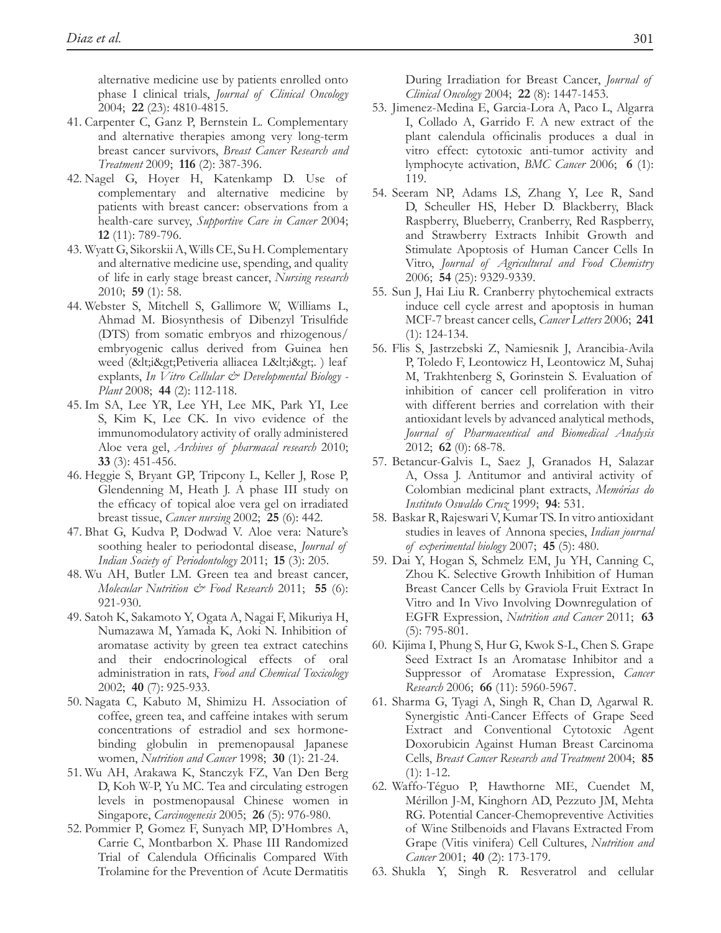alternative medicine use by patients enrolled onto phase I clinical trials, *Journal of Clinical Oncology*  2004; **22** (23): 4810-4815.

- 41. Carpenter C, Ganz P, Bernstein L. Complementary and alternative therapies among very long-term breast cancer survivors, *Breast Cancer Research and Treatment* 2009; **116** (2): 387-396.
- 42. Nagel G, Hoyer H, Katenkamp D. Use of complementary and alternative medicine by patients with breast cancer: observations from a health-care survey, *Supportive Care in Cancer* 2004; **12** (11): 789-796.
- Wyatt G, Sikorskii A, Wills CE, Su H. Complementary 43. and alternative medicine use, spending, and quality of life in early stage breast cancer, *Nursing research*  2010; **59** (1): 58.
- Webster S, Mitchell S, Gallimore W, Williams L, 44. Ahmad M. Biosynthesis of Dibenzyl Trisulfide (DTS) from somatic embryos and rhizogenous/ embryogenic callus derived from Guinea hen weed (<i&gt;Petiveria alliacea L&lt;i&gt;.) leaf explants, *In Vitro Cellular & Developmental Biology - Plant* 2008; **44** (2): 112-118.
- 45. Im SA, Lee YR, Lee YH, Lee MK, Park YI, Lee S, Kim K, Lee CK. In vivo evidence of the immunomodulatory activity of orally administered Aloe vera gel, *Archives of pharmacal research* 2010; **33** (3): 451-456.
- 46. Heggie S, Bryant GP, Tripcony L, Keller J, Rose P, Glendenning M, Heath J. A phase III study on the efficacy of topical aloe vera gel on irradiated breast tissue, *Cancer nursing* 2002; **25** (6): 442.
- 47. Bhat G, Kudva P, Dodwad V. Aloe vera: Nature's soothing healer to periodontal disease, *Journal of Indian Society of Periodontology* 2011; **15** (3): 205.
- 48. Wu AH, Butler LM. Green tea and breast cancer, *Molecular Nutrition & Food Research* 2011; **55** (6): 921-930.
- 49. Satoh K, Sakamoto Y, Ogata A, Nagai F, Mikuriya H, Numazawa M, Yamada K, Aoki N. Inhibition of aromatase activity by green tea extract catechins and their endocrinological effects of oral administration in rats, *Food and Chemical Toxicology*  2002; **40** (7): 925-933.
- 50. Nagata C, Kabuto M, Shimizu H. Association of coffee, green tea, and caffeine intakes with serum concentrations of estradiol and sex hormone‐ binding globulin in premenopausal Japanese women, *Nutrition and Cancer* 1998; **30** (1): 21-24.
- 51. Wu AH, Arakawa K, Stanczyk FZ, Van Den Berg D, Koh W-P, Yu MC. Tea and circulating estrogen levels in postmenopausal Chinese women in Singapore, *Carcinogenesis* 2005; **26** (5): 976-980.
- 52. Pommier P, Gomez F, Sunyach MP, D'Hombres A, Carrie C, Montbarbon X. Phase III Randomized Trial of Calendula Officinalis Compared With Trolamine for the Prevention of Acute Dermatitis

During Irradiation for Breast Cancer, *Journal of Clinical Oncology* 2004; **22** (8): 1447-1453.

- 53. Jimenez-Medina E, Garcia-Lora A, Paco L, Algarra I, Collado A, Garrido F. A new extract of the plant calendula officinalis produces a dual in vitro effect: cytotoxic anti-tumor activity and lymphocyte activation, *BMC Cancer* 2006; **6** (1): 119.
- 54. Seeram NP, Adams LS, Zhang Y, Lee R, Sand D, Scheuller HS, Heber D. Blackberry, Black Raspberry, Blueberry, Cranberry, Red Raspberry, and Strawberry Extracts Inhibit Growth and Stimulate Apoptosis of Human Cancer Cells In Vitro, *Journal of Agricultural and Food Chemistry*  2006; **54** (25): 9329-9339.
- 55. Sun J, Hai Liu R. Cranberry phytochemical extracts induce cell cycle arrest and apoptosis in human MCF-7 breast cancer cells, *Cancer Letters* 2006; **241**  (1): 124-134.
- 56. Flis S, Jastrzebski Z, Namiesnik J, Arancibia-Avila P, Toledo F, Leontowicz H, Leontowicz M, Suhaj M, Trakhtenberg S, Gorinstein S. Evaluation of inhibition of cancer cell proliferation in vitro with different berries and correlation with their antioxidant levels by advanced analytical methods, *Journal of Pharmaceutical and Biomedical Analysis*  2012; **62** (0): 68-78.
- 57. Betancur-Galvis L, Saez J, Granados H, Salazar A, Ossa J. Antitumor and antiviral activity of Colombian medicinal plant extracts, *Memórias do Instituto Oswaldo Cruz* 1999; **94**: 531.
- 58. Baskar R, Rajeswari V, Kumar TS. In vitro antioxidant studies in leaves of Annona species, *Indian journal of experimental biology* 2007; **45** (5): 480.
- 59. Dai Y, Hogan S, Schmelz EM, Ju YH, Canning C, Zhou K. Selective Growth Inhibition of Human Breast Cancer Cells by Graviola Fruit Extract In Vitro and In Vivo Involving Downregulation of EGFR Expression, *Nutrition and Cancer* 2011; **63**  (5): 795-801.
- 60. Kijima I, Phung S, Hur G, Kwok S-L, Chen S. Grape Seed Extract Is an Aromatase Inhibitor and a Suppressor of Aromatase Expression, *Cancer Research* 2006; **66** (11): 5960-5967.
- 61. Sharma G, Tyagi A, Singh R, Chan D, Agarwal R. Synergistic Anti-Cancer Effects of Grape Seed Extract and Conventional Cytotoxic Agent Doxorubicin Against Human Breast Carcinoma Cells, *Breast Cancer Research and Treatment* 2004; **85**   $(1): 1-12.$
- Waffo-Téguo P, Hawthorne ME, Cuendet M, 62. Mérillon J-M, Kinghorn AD, Pezzuto JM, Mehta RG. Potential Cancer-Chemopreventive Activities of Wine Stilbenoids and Flavans Extracted From Grape (Vitis vinifera) Cell Cultures, *Nutrition and Cancer* 2001; **40** (2): 173-179.
- 63. Shukla Y, Singh R. Resveratrol and cellular